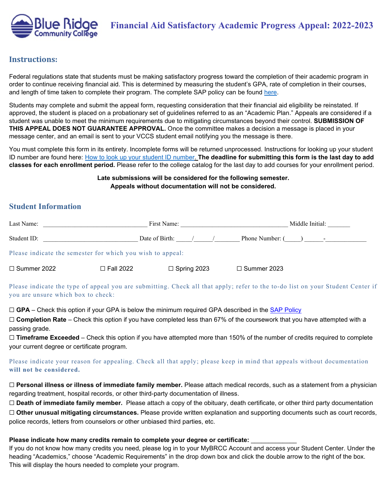

### **Instructions:**

Federal regulations state that students must be making satisfactory progress toward the completion of their academic program in order to continue receiving financial aid. This is determined by measuring the student's GPA, rate of completion in their courses, and length of time taken to complete their program. The complete SAP policy can be found [here.](http://www.brcc.edu/financial_aid/fin-aid-policies/sap)

Students may complete and submit the appeal form, requesting consideration that their financial aid eligibility be reinstated. If approved, the student is placed on a probationary set of guidelines referred to as an "Academic Plan." Appeals are considered if a student was unable to meet the minimum requirements due to mitigating circumstances beyond their control. **SUBMISSION OF THIS APPEAL DOES NOT GUARANTEE APPROVAL.** Once the committee makes a decision a message is placed in your message center, and an email is sent to your VCCS student email notifying you the message is there.

You must complete this form in its entirety. Incomplete forms will be returned unprocessed. Instructions for looking up your student ID number are found here: [How to look up your student ID number.](https://www.brcc.edu/services/computing/mybrcc-support/index.html#emplid) **The deadline for submitting this form is the last day to add classes for each enrollment period.** Please refer to the college catalog for the last day to add courses for your enrollment period.

> **Late submissions will be considered for the following semester. Appeals without documentation will not be considered.**

## **Student Information**

| Last Name:         |                                                            | First Name:        | Middle Initial:                                                                                                             |  |
|--------------------|------------------------------------------------------------|--------------------|-----------------------------------------------------------------------------------------------------------------------------|--|
| Student ID:        |                                                            | Date of Birth:     | Phone Number: (                                                                                                             |  |
|                    | Please indicate the semester for which you wish to appeal: |                    |                                                                                                                             |  |
| $\Box$ Summer 2022 | $\Box$ Fall 2022                                           | $\Box$ Spring 2023 | $\Box$ Summer 2023                                                                                                          |  |
|                    |                                                            |                    | Please indicate the type of anneal you are submitting. Check all that annly: refer to the to-do list on your Student Center |  |

Please indicate the type of appeal you are submitting. Check all that apply; refer to the to-do list on your Student Center if you are unsure which box to check:

 $\Box$  **GPA** – Check this option if your GPA is below the minimum required GPA described in the [SAP Policy](http://www.brcc.edu/financial_aid/fin-aid-policies/sap)

□ **Completion Rate** – Check this option if you have completed less than 67% of the coursework that you have attempted with a passing grade.

□ **Timeframe Exceeded** – Check this option if you have attempted more than 150% of the number of credits required to complete your current degree or certificate program.

#### Please indicate your reason for appealing. Check all that apply; please keep in mind that appeals without documentation **will not be considered.**

☐ **Personal illness or illness of immediate family member.** Please attach medical records, such as a statement from a physician regarding treatment, hospital records, or other third-party documentation of illness.

☐ **Death of immediate family member.** Please attach a copy of the obituary, death certificate, or other third party documentation ☐ **Other unusual mitigating circumstances.** Please provide written explanation and supporting documents such as court records, police records, letters from counselors or other unbiased third parties, etc.

#### **Please indicate how many credits remain to complete your degree or certificate:** \_\_\_\_\_\_\_\_\_\_\_\_\_

If you do not know how many credits you need, please log in to your MyBRCC Account and access your Student Center. Under the heading "Academics," choose "Academic Requirements" in the drop down box and click the double arrow to the right of the box. This will display the hours needed to complete your program.